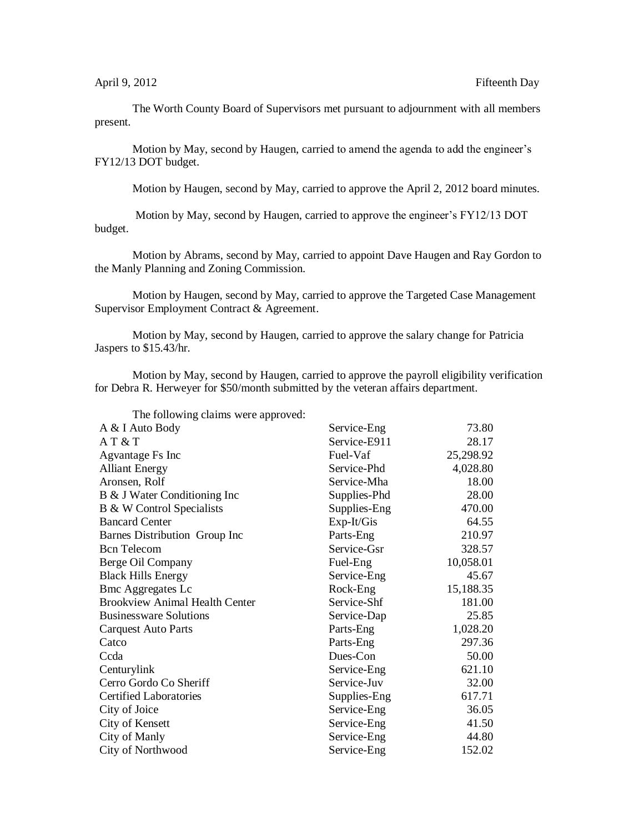The Worth County Board of Supervisors met pursuant to adjournment with all members present.

Motion by May, second by Haugen, carried to amend the agenda to add the engineer's FY12/13 DOT budget.

Motion by Haugen, second by May, carried to approve the April 2, 2012 board minutes.

Motion by May, second by Haugen, carried to approve the engineer's FY12/13 DOT budget.

Motion by Abrams, second by May, carried to appoint Dave Haugen and Ray Gordon to the Manly Planning and Zoning Commission.

Motion by Haugen, second by May, carried to approve the Targeted Case Management Supervisor Employment Contract & Agreement.

Motion by May, second by Haugen, carried to approve the salary change for Patricia Jaspers to \$15.43/hr.

The following claims were approved:

Motion by May, second by Haugen, carried to approve the payroll eligibility verification for Debra R. Herweyer for \$50/month submitted by the veteran affairs department.

| Service-Eng  | 73.80     |
|--------------|-----------|
| Service-E911 | 28.17     |
| Fuel-Vaf     | 25,298.92 |
| Service-Phd  | 4,028.80  |
| Service-Mha  | 18.00     |
| Supplies-Phd | 28.00     |
| Supplies-Eng | 470.00    |
| Exp-It/Gis   | 64.55     |
| Parts-Eng    | 210.97    |
| Service-Gsr  | 328.57    |
| Fuel-Eng     | 10,058.01 |
| Service-Eng  | 45.67     |
| Rock-Eng     | 15,188.35 |
| Service-Shf  | 181.00    |
| Service-Dap  | 25.85     |
| Parts-Eng    | 1,028.20  |
| Parts-Eng    | 297.36    |
| Dues-Con     | 50.00     |
| Service-Eng  | 621.10    |
| Service-Juv  | 32.00     |
| Supplies-Eng | 617.71    |
| Service-Eng  | 36.05     |
| Service-Eng  | 41.50     |
| Service-Eng  | 44.80     |
| Service-Eng  | 152.02    |
|              |           |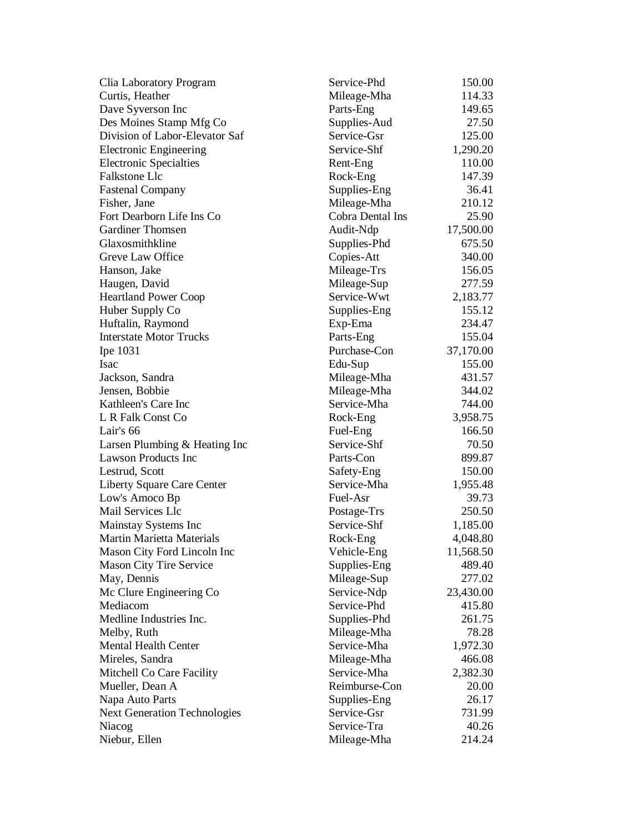| Clia Laboratory Program             | Service-Phd      | 150.00    |
|-------------------------------------|------------------|-----------|
| Curtis, Heather                     | Mileage-Mha      | 114.33    |
| Dave Syverson Inc                   | Parts-Eng        | 149.65    |
| Des Moines Stamp Mfg Co             | Supplies-Aud     | 27.50     |
| Division of Labor-Elevator Saf      | Service-Gsr      | 125.00    |
| <b>Electronic Engineering</b>       | Service-Shf      | 1,290.20  |
| <b>Electronic Specialties</b>       | Rent-Eng         | 110.00    |
| Falkstone Llc                       | Rock-Eng         | 147.39    |
| <b>Fastenal Company</b>             | Supplies-Eng     | 36.41     |
| Fisher, Jane                        | Mileage-Mha      | 210.12    |
| Fort Dearborn Life Ins Co           | Cobra Dental Ins | 25.90     |
| <b>Gardiner Thomsen</b>             | Audit-Ndp        | 17,500.00 |
| Glaxosmithkline                     | Supplies-Phd     | 675.50    |
| Greve Law Office                    | Copies-Att       | 340.00    |
| Hanson, Jake                        | Mileage-Trs      | 156.05    |
| Haugen, David                       | Mileage-Sup      | 277.59    |
| <b>Heartland Power Coop</b>         | Service-Wwt      | 2,183.77  |
| Huber Supply Co                     | Supplies-Eng     | 155.12    |
| Huftalin, Raymond                   | Exp-Ema          | 234.47    |
| <b>Interstate Motor Trucks</b>      | Parts-Eng        | 155.04    |
| Ipe 1031                            | Purchase-Con     | 37,170.00 |
| Isac                                | Edu-Sup          | 155.00    |
| Jackson, Sandra                     | Mileage-Mha      | 431.57    |
| Jensen, Bobbie                      | Mileage-Mha      | 344.02    |
| Kathleen's Care Inc                 | Service-Mha      | 744.00    |
| L R Falk Const Co                   | Rock-Eng         | 3,958.75  |
| Lair's 66                           | Fuel-Eng         | 166.50    |
| Larsen Plumbing & Heating Inc       | Service-Shf      | 70.50     |
| <b>Lawson Products Inc</b>          | Parts-Con        | 899.87    |
| Lestrud, Scott                      | Safety-Eng       | 150.00    |
| Liberty Square Care Center          | Service-Mha      | 1,955.48  |
| Low's Amoco Bp                      | Fuel-Asr         | 39.73     |
| Mail Services Llc                   | Postage-Trs      | 250.50    |
| Mainstay Systems Inc                | Service-Shf      | 1,185.00  |
| Martin Marietta Materials           | Rock-Eng         | 4,048.80  |
| Mason City Ford Lincoln Inc         | Vehicle-Eng      | 11,568.50 |
| <b>Mason City Tire Service</b>      | Supplies-Eng     | 489.40    |
| May, Dennis                         | Mileage-Sup      | 277.02    |
| Mc Clure Engineering Co             | Service-Ndp      | 23,430.00 |
| Mediacom                            | Service-Phd      | 415.80    |
| Medline Industries Inc.             | Supplies-Phd     | 261.75    |
| Melby, Ruth                         | Mileage-Mha      | 78.28     |
| <b>Mental Health Center</b>         | Service-Mha      | 1,972.30  |
| Mireles, Sandra                     | Mileage-Mha      | 466.08    |
| Mitchell Co Care Facility           | Service-Mha      | 2,382.30  |
| Mueller, Dean A                     | Reimburse-Con    | 20.00     |
| Napa Auto Parts                     | Supplies-Eng     | 26.17     |
| <b>Next Generation Technologies</b> | Service-Gsr      | 731.99    |
| Niacog                              | Service-Tra      | 40.26     |
| Niebur, Ellen                       | Mileage-Mha      | 214.24    |